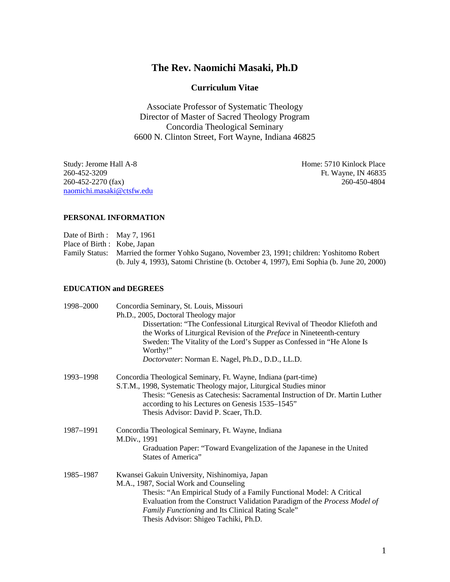# **The Rev. Naomichi Masaki, Ph.D**

## **Curriculum Vitae**

Associate Professor of Systematic Theology Director of Master of Sacred Theology Program Concordia Theological Seminary 6600 N. Clinton Street, Fort Wayne, Indiana 46825

Study: Jerome Hall A-8 Home: 5710 Kinlock Place 260-452-3209 Ft. Wayne, IN 46835 260-452-2270 (fax) 260-450-4804 [naomichi.masaki@ctsfw.edu](mailto:naomichi.masaki@ctsfw.edu)

### **PERSONAL INFORMATION**

- Date of Birth : May 7, 1961
- Place of Birth : Kobe, Japan

Family Status: Married the former Yohko Sugano, November 23, 1991; children: Yoshitomo Robert (b. July 4, 1993), Satomi Christine (b. October 4, 1997), Emi Sophia (b. June 20, 2000)

### **EDUCATION and DEGREES**

| 1998–2000 | Concordia Seminary, St. Louis, Missouri<br>Ph.D., 2005, Doctoral Theology major<br>Dissertation: "The Confessional Liturgical Revival of Theodor Kliefoth and<br>the Works of Liturgical Revision of the <i>Preface</i> in Nineteenth-century<br>Sweden: The Vitality of the Lord's Supper as Confessed in "He Alone Is"<br>Worthy!"<br>Doctorvater: Norman E. Nagel, Ph.D., D.D., LL.D. |
|-----------|------------------------------------------------------------------------------------------------------------------------------------------------------------------------------------------------------------------------------------------------------------------------------------------------------------------------------------------------------------------------------------------|
| 1993-1998 | Concordia Theological Seminary, Ft. Wayne, Indiana (part-time)<br>S.T.M., 1998, Systematic Theology major, Liturgical Studies minor<br>Thesis: "Genesis as Catechesis: Sacramental Instruction of Dr. Martin Luther<br>according to his Lectures on Genesis 1535–1545"<br>Thesis Advisor: David P. Scaer, Th.D.                                                                          |
| 1987–1991 | Concordia Theological Seminary, Ft. Wayne, Indiana<br>M.Div., 1991<br>Graduation Paper: "Toward Evangelization of the Japanese in the United<br><b>States of America"</b>                                                                                                                                                                                                                |
| 1985-1987 | Kwansei Gakuin University, Nishinomiya, Japan<br>M.A., 1987, Social Work and Counseling<br>Thesis: "An Empirical Study of a Family Functional Model: A Critical<br>Evaluation from the Construct Validation Paradigm of the Process Model of<br>Family Functioning and Its Clinical Rating Scale"<br>Thesis Advisor: Shigeo Tachiki, Ph.D.                                               |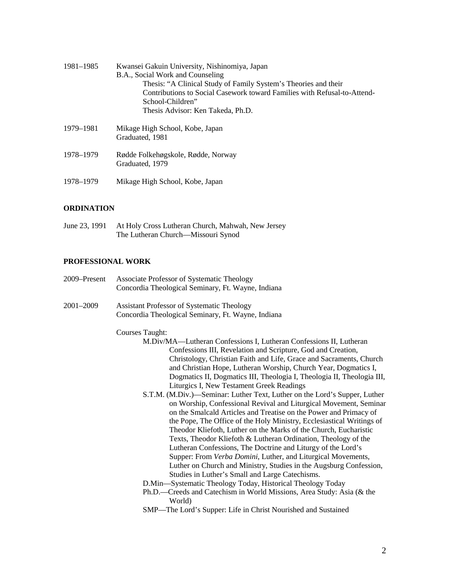| 1981–1985 | Kwansei Gakuin University, Nishinomiya, Japan<br>B.A., Social Work and Counseling<br>Thesis: "A Clinical Study of Family System's Theories and their<br>Contributions to Social Casework toward Families with Refusal-to-Attend-<br>School-Children"<br>Thesis Advisor: Ken Takeda, Ph.D. |
|-----------|-------------------------------------------------------------------------------------------------------------------------------------------------------------------------------------------------------------------------------------------------------------------------------------------|
| 1979–1981 | Mikage High School, Kobe, Japan<br>Graduated, 1981                                                                                                                                                                                                                                        |
| 1978–1979 | Rødde Folkehøgskole, Rødde, Norway<br>Graduated, 1979                                                                                                                                                                                                                                     |

1978–1979 Mikage High School, Kobe, Japan

### **ORDINATION**

June 23, 1991 At Holy Cross Lutheran Church, Mahwah, New Jersey The Lutheran Church—Missouri Synod

# **PROFESSIONAL WORK**

| 2009–Present | Associate Professor of Systematic Theology<br>Concordia Theological Seminary, Ft. Wayne, Indiana                                                                                                                                                                                                                                                                                                                                                                                                                                                                                                                                                                                                                                                                                                                                                                                                                                                                                                                                                                                                                                                                                                                                                                                                                                               |
|--------------|------------------------------------------------------------------------------------------------------------------------------------------------------------------------------------------------------------------------------------------------------------------------------------------------------------------------------------------------------------------------------------------------------------------------------------------------------------------------------------------------------------------------------------------------------------------------------------------------------------------------------------------------------------------------------------------------------------------------------------------------------------------------------------------------------------------------------------------------------------------------------------------------------------------------------------------------------------------------------------------------------------------------------------------------------------------------------------------------------------------------------------------------------------------------------------------------------------------------------------------------------------------------------------------------------------------------------------------------|
| 2001-2009    | <b>Assistant Professor of Systematic Theology</b><br>Concordia Theological Seminary, Ft. Wayne, Indiana                                                                                                                                                                                                                                                                                                                                                                                                                                                                                                                                                                                                                                                                                                                                                                                                                                                                                                                                                                                                                                                                                                                                                                                                                                        |
|              | <b>Courses Taught:</b><br>M.Div/MA—Lutheran Confessions I, Lutheran Confessions II, Lutheran<br>Confessions III, Revelation and Scripture, God and Creation,<br>Christology, Christian Faith and Life, Grace and Sacraments, Church<br>and Christian Hope, Lutheran Worship, Church Year, Dogmatics I,<br>Dogmatics II, Dogmatics III, Theologia I, Theologia II, Theologia III,<br>Liturgics I, New Testament Greek Readings<br>S.T.M. (M.Div.)—Seminar: Luther Text, Luther on the Lord's Supper, Luther<br>on Worship, Confessional Revival and Liturgical Movement, Seminar<br>on the Smalcald Articles and Treatise on the Power and Primacy of<br>the Pope, The Office of the Holy Ministry, Ecclesiastical Writings of<br>Theodor Kliefoth, Luther on the Marks of the Church, Eucharistic<br>Texts, Theodor Kliefoth & Lutheran Ordination, Theology of the<br>Lutheran Confessions, The Doctrine and Liturgy of the Lord's<br>Supper: From Verba Domini, Luther, and Liturgical Movements,<br>Luther on Church and Ministry, Studies in the Augsburg Confession,<br>Studies in Luther's Small and Large Catechisms.<br>D.Min-Systematic Theology Today, Historical Theology Today<br>Ph.D.—Creeds and Catechism in World Missions, Area Study: Asia (& the<br>World)<br>SMP—The Lord's Supper: Life in Christ Nourished and Sustained |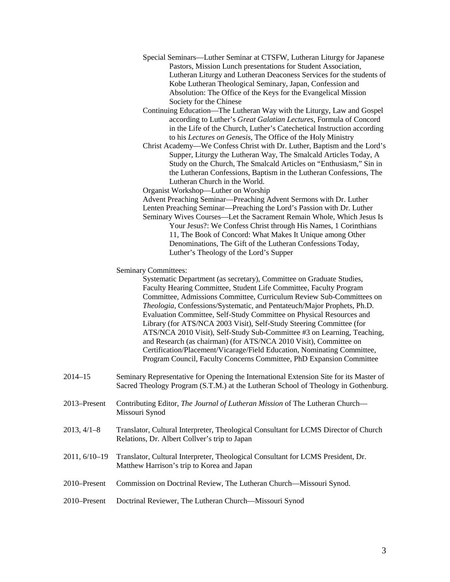- Special Seminars—Luther Seminar at CTSFW, Lutheran Liturgy for Japanese Pastors, Mission Lunch presentations for Student Association, Lutheran Liturgy and Lutheran Deaconess Services for the students of Kobe Lutheran Theological Seminary, Japan, Confession and Absolution: The Office of the Keys for the Evangelical Mission Society for the Chinese
- Continuing Education—The Lutheran Way with the Liturgy, Law and Gospel according to Luther's *Great Galatian Lectures*, Formula of Concord in the Life of the Church, Luther's Catechetical Instruction according to his *Lectures on Genesis*, The Office of the Holy Ministry
- Christ Academy—We Confess Christ with Dr. Luther, Baptism and the Lord's Supper, Liturgy the Lutheran Way, The Smalcald Articles Today, A Study on the Church, The Smalcald Articles on "Enthusiasm," Sin in the Lutheran Confessions, Baptism in the Lutheran Confessions, The Lutheran Church in the World.

Organist Workshop—Luther on Worship

Advent Preaching Seminar—Preaching Advent Sermons with Dr. Luther Lenten Preaching Seminar—Preaching the Lord's Passion with Dr. Luther

Seminary Wives Courses—Let the Sacrament Remain Whole, Which Jesus Is Your Jesus?: We Confess Christ through His Names, 1 Corinthians 11, The Book of Concord: What Makes It Unique among Other Denominations, The Gift of the Lutheran Confessions Today, Luther's Theology of the Lord's Supper

Seminary Committees:

Systematic Department (as secretary), Committee on Graduate Studies, Faculty Hearing Committee, Student Life Committee, Faculty Program Committee, Admissions Committee, Curriculum Review Sub-Committees on *Theologia*, Confessions/Systematic, and Pentateuch/Major Prophets, Ph.D. Evaluation Committee, Self-Study Committee on Physical Resources and Library (for ATS/NCA 2003 Visit), Self-Study Steering Committee (for ATS/NCA 2010 Visit), Self-Study Sub-Committee #3 on Learning, Teaching, and Research (as chairman) (for ATS/NCA 2010 Visit), Committee on Certification/Placement/Vicarage/Field Education, Nominating Committee, Program Council, Faculty Concerns Committee, PhD Expansion Committee

- 2014–15 Seminary Representative for Opening the International Extension Site for its Master of Sacred Theology Program (S.T.M.) at the Lutheran School of Theology in Gothenburg.
- 2013–Present Contributing Editor, *The Journal of Lutheran Mission* of The Lutheran Church— Missouri Synod
- 2013, 4/1–8 Translator, Cultural Interpreter, Theological Consultant for LCMS Director of Church Relations, Dr. Albert Collver's trip to Japan
- 2011, 6/10–19 Translator, Cultural Interpreter, Theological Consultant for LCMS President, Dr. Matthew Harrison's trip to Korea and Japan
- 2010–Present Commission on Doctrinal Review, The Lutheran Church—Missouri Synod.
- 2010–Present Doctrinal Reviewer, The Lutheran Church—Missouri Synod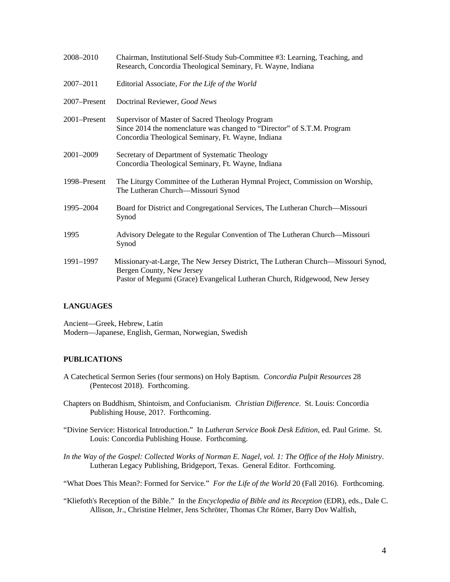| 2008-2010    | Chairman, Institutional Self-Study Sub-Committee #3: Learning, Teaching, and<br>Research, Concordia Theological Seminary, Ft. Wayne, Indiana                                                  |
|--------------|-----------------------------------------------------------------------------------------------------------------------------------------------------------------------------------------------|
| 2007-2011    | Editorial Associate, For the Life of the World                                                                                                                                                |
| 2007-Present | Doctrinal Reviewer, Good News                                                                                                                                                                 |
| 2001–Present | Supervisor of Master of Sacred Theology Program<br>Since 2014 the nomenclature was changed to "Director" of S.T.M. Program<br>Concordia Theological Seminary, Ft. Wayne, Indiana              |
| 2001-2009    | Secretary of Department of Systematic Theology<br>Concordia Theological Seminary, Ft. Wayne, Indiana                                                                                          |
| 1998–Present | The Liturgy Committee of the Lutheran Hymnal Project, Commission on Worship,<br>The Lutheran Church—Missouri Synod                                                                            |
| 1995-2004    | Board for District and Congregational Services, The Lutheran Church—Missouri<br>Synod                                                                                                         |
| 1995         | Advisory Delegate to the Regular Convention of The Lutheran Church—Missouri<br>Synod                                                                                                          |
| 1991-1997    | Missionary-at-Large, The New Jersey District, The Lutheran Church—Missouri Synod,<br>Bergen County, New Jersey<br>Pastor of Megumi (Grace) Evangelical Lutheran Church, Ridgewood, New Jersey |

### **LANGUAGES**

Ancient—Greek, Hebrew, Latin Modern—Japanese, English, German, Norwegian, Swedish

### **PUBLICATIONS**

- A Catechetical Sermon Series (four sermons) on Holy Baptism. *Concordia Pulpit Resources* 28 (Pentecost 2018). Forthcoming.
- Chapters on Buddhism, Shintoism, and Confucianism. *Christian Difference*. St. Louis: Concordia Publishing House, 201?. Forthcoming.
- "Divine Service: Historical Introduction." In *Lutheran Service Book Desk Edition*, ed. Paul Grime. St. Louis: Concordia Publishing House. Forthcoming.
- *In the Way of the Gospel: Collected Works of Norman E. Nagel*, *vol. 1: The Office of the Holy Ministry*. Lutheran Legacy Publishing, Bridgeport, Texas. General Editor. Forthcoming.
- "What Does This Mean?: Formed for Service." *For the Life of the World* 20 (Fall 2016). Forthcoming.
- "Kliefoth's Reception of the Bible." In the *Encyclopedia of Bible and its Reception* (EDR), eds., Dale C. Allison, Jr., Christine Helmer, Jens Schröter, Thomas Chr Römer, Barry Dov Walfish,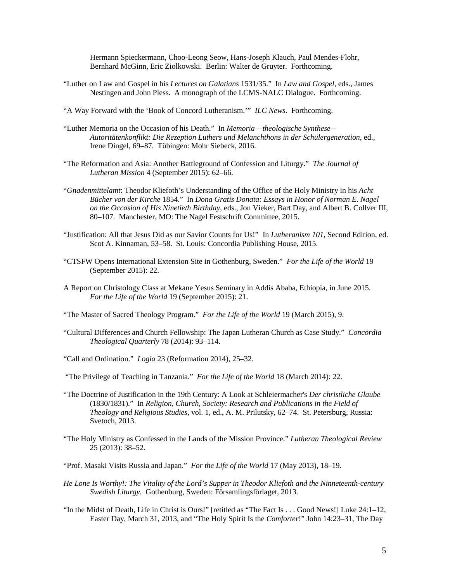Hermann Spieckermann, Choo-Leong Seow, Hans-Joseph Klauch, Paul Mendes-Flohr, Bernhard McGinn, Eric Ziolkowski. Berlin: Walter de Gruyter. Forthcoming.

- "Luther on Law and Gospel in his *Lectures on Galatians* 1531/35." In *Law and Gospel*, eds., James Nestingen and John Pless. A monograph of the LCMS-NALC Dialogue. Forthcoming.
- "A Way Forward with the 'Book of Concord Lutheranism.'" *ILC News*. Forthcoming.
- "Luther Memoria on the Occasion of his Death." In *Memoria – theologische Synthese – Autoritätenkonflikt: Die Rezeption Luthers und Melanchthons in der Schülergeneration*, ed., Irene Dingel, 69–87. Tübingen: Mohr Siebeck, 2016.
- "The Reformation and Asia: Another Battleground of Confession and Liturgy." *The Journal of Lutheran Mission* 4 (September 2015): 62–66.
- "*Gnadenmittelamt*: Theodor Kliefoth's Understanding of the Office of the Holy Ministry in his *Acht Bücher von der Kirche* 1854." In *Dona Gratis Donata: Essays in Honor of Norman E. Nagel on the Occasion of His Ninetieth Birthday*, eds., Jon Vieker, Bart Day, and Albert B. Collver III, 80–107. Manchester, MO: The Nagel Festschrift Committee, 2015.
- "Justification: All that Jesus Did as our Savior Counts for Us!" In *Lutheranism 101*, Second Edition, ed. Scot A. Kinnaman, 53–58. St. Louis: Concordia Publishing House, 2015.
- "CTSFW Opens International Extension Site in Gothenburg, Sweden." *For the Life of the World* 19 (September 2015): 22.
- A Report on Christology Class at Mekane Yesus Seminary in Addis Ababa, Ethiopia, in June 2015. *For the Life of the World* 19 (September 2015): 21.
- "The Master of Sacred Theology Program." *For the Life of the World* 19 (March 2015), 9.
- "Cultural Differences and Church Fellowship: The Japan Lutheran Church as Case Study." *Concordia Theological Quarterly* 78 (2014): 93–114.
- "Call and Ordination." *Logia* 23 (Reformation 2014), 25–32.
- "The Privilege of Teaching in Tanzania." *For the Life of the World* 18 (March 2014): 22.
- "The Doctrine of Justification in the 19th Century: A Look at Schleiermacher's *Der christliche Glaube* (1830/1831)." In *Religion, Church, Society: Research and Publications in the Field of Theology and Religious Studies*, vol. 1, ed., A. M. Prilutsky, 62–74. St. Petersburg, Russia: Svetoch, 2013.
- "The Holy Ministry as Confessed in the Lands of the Mission Province." *Lutheran Theological Review* 25 (2013): 38–52.
- "Prof. Masaki Visits Russia and Japan." *For the Life of the World* 17 (May 2013), 18–19.
- *He Lone Is Worthy!: The Vitality of the Lord's Supper in Theodor Kliefoth and the Ninneteenth-century Swedish Liturgy.* Gothenburg, Sweden: Församlingsförlaget, 2013.
- "In the Midst of Death, Life in Christ is Ours!" [retitled as "The Fact Is . . . Good News!] Luke 24:1–12, Easter Day, March 31, 2013, and "The Holy Spirit Is the *Comforter*!" John 14:23–31, The Day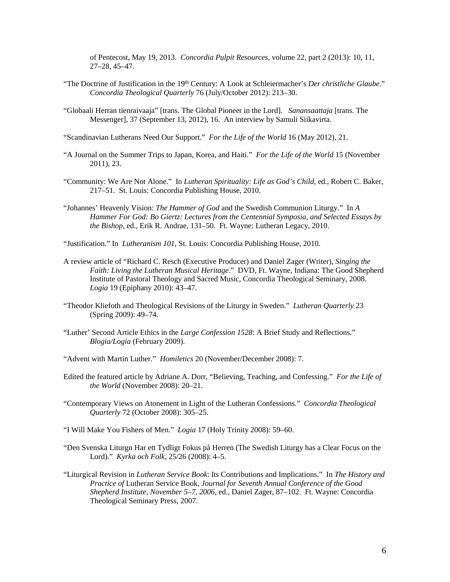of Pentecost, May 19, 2013. *Concordia Pulpit Resources*, volume 22, part 2 (2013): 10, 11, 27–28, 45–47.

- "The Doctrine of Justification in the 19<sup>th</sup> Century: A Look at Schleiermacher's *Der christliche Glaube*." *Concordia Theological Quarterly* 76 (July/October 2012): 213–30.
- "Globaali Herran tienraivaaja" [trans. The Global Pioneer in the Lord]. *Sanansaattaja* [trans. The Messenger], 37 (September 13, 2012), 16. An interview by Samuli Siikavirta.
- "Scandinavian Lutherans Need Our Support." *For the Life of the World* 16 (May 2012), 21.
- "A Journal on the Summer Trips to Japan, Korea, and Haiti." *For the Life of the World* 15 (November 2011), 23.
- "Community: We Are Not Alone." In *Lutheran Spirituality: Life as God's Child*, ed., Robert C. Baker, 217–51. St. Louis: Concordia Publishing House, 2010.
- "Johannes' Heavenly Vision: *The Hammer of God* and the Swedish Communion Liturgy." In *A Hammer For God: Bo Giertz: Lectures from the Centennial Symposia, and Selected Essays by the Bishop*, ed., Erik R. Andrae, 131–50. Ft. Wayne: Lutheran Legacy, 2010.
- "Justification." In *Lutheranism 101*, St. Louis: Concordia Publishing House, 2010.
- A review article of "Richard C. Resch (Executive Producer) and Daniel Zager (Writer), *Singing the Faith: Living the Lutheran Musical Heritage*."DVD, Ft. Wayne, Indiana: The Good Shepherd Institute of Pastoral Theology and Sacred Music, Concordia Theological Seminary, 2008. *Logia* 19 (Epiphany 2010): 43–47.
- "Theodor Kliefoth and Theological Revisions of the Liturgy in Sweden." *Lutheran Quarterly* 23 (Spring 2009): 49–74.
- "Luther' Second Article Ethics in the *Large Confession 1528*: A Brief Study and Reflections." *Blogia/Logia* (February 2009).
- "Advent with Martin Luther." *Homiletics* 20 (November/December 2008): 7.
- Edited the featured article by Adriane A. Dorr, "Believing, Teaching, and Confessing." *For the Life of the World* (November 2008): 20–21.
- "Contemporary Views on Atonement in Light of the Lutheran Confessions." *Concordia Theological Quarterly* 72 (October 2008): 305–25.
- "I Will Make You Fishers of Men." *Logia* 17 (Holy Trinity 2008): 59–60.
- "Den Svenska Liturgn Har ett Tydligt Fokus på Herren (The Swedish Liturgy has a Clear Focus on the Lord)." *Kyrka och Folk*, 25/26 (2008): 4–5.
- "Liturgical Revision in *Lutheran Service Book*: Its Contributions and Implications." In *The History and Practice of* Lutheran Service Book, *Journal for Seventh Annual Conference of the Good Shepherd Institute, November 5–7, 2006*, ed., Daniel Zager, 87–102. Ft. Wayne: Concordia Theological Seminary Press, 2007.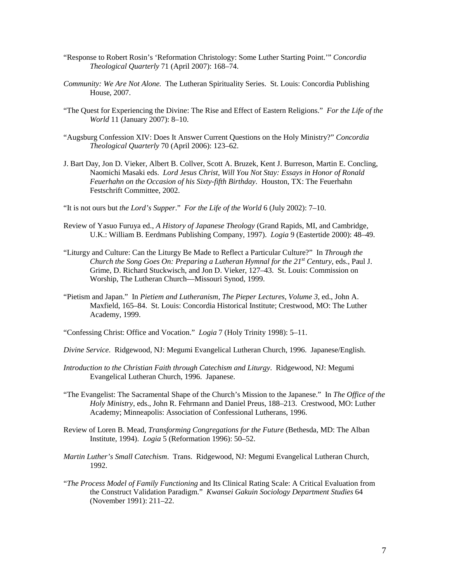- "Response to Robert Rosin's 'Reformation Christology: Some Luther Starting Point.'" *Concordia Theological Quarterly* 71 (April 2007): 168–74.
- *Community: We Are Not Alone.* The Lutheran Spirituality Series. St. Louis: Concordia Publishing House, 2007.
- "The Quest for Experiencing the Divine: The Rise and Effect of Eastern Religions." *For the Life of the World* 11 (January 2007): 8–10.
- "Augsburg Confession XIV: Does It Answer Current Questions on the Holy Ministry?" *Concordia Theological Quarterly* 70 (April 2006): 123–62.
- J. Bart Day, Jon D. Vieker, Albert B. Collver, Scott A. Bruzek, Kent J. Burreson, Martin E. Concling, Naomichi Masaki eds. *Lord Jesus Christ, Will You Not Stay: Essays in Honor of Ronald Feuerhahn on the Occasion of his Sixty-fifth Birthday*. Houston, TX: The Feuerhahn Festschrift Committee, 2002.
- "It is not ours but *the Lord's Supper*." *For the Life of the World* 6 (July 2002): 7–10.
- Review of Yasuo Furuya ed., *A History of Japanese Theology* (Grand Rapids, MI, and Cambridge, U.K.: William B. Eerdmans Publishing Company, 1997). *Logia* 9 (Eastertide 2000): 48–49.
- "Liturgy and Culture: Can the Liturgy Be Made to Reflect a Particular Culture?" In *Through the Church the Song Goes On: Preparing a Lutheran Hymnal for the 21<sup>st</sup> Century, eds., Paul J.* Grime, D. Richard Stuckwisch, and Jon D. Vieker, 127–43. St. Louis: Commission on Worship, The Lutheran Church—Missouri Synod, 1999.
- "Pietism and Japan." In *Pietiem and Lutheranism, The Pieper Lectures, Volume 3*, ed., John A. Maxfield, 165–84. St. Louis: Concordia Historical Institute; Crestwood, MO: The Luther Academy, 1999.
- "Confessing Christ: Office and Vocation." *Logia* 7 (Holy Trinity 1998): 5–11.
- *Divine Service*. Ridgewood, NJ: Megumi Evangelical Lutheran Church, 1996. Japanese/English.
- *Introduction to the Christian Faith through Catechism and Liturgy*. Ridgewood, NJ: Megumi Evangelical Lutheran Church, 1996. Japanese.
- "The Evangelist: The Sacramental Shape of the Church's Mission to the Japanese." In *The Office of the Holy Ministry*, eds., John R. Fehrmann and Daniel Preus, 188–213. Crestwood, MO: Luther Academy; Minneapolis: Association of Confessional Lutherans, 1996.
- Review of Loren B. Mead, *Transforming Congregations for the Future* (Bethesda, MD: The Alban Institute, 1994). *Logia* 5 (Reformation 1996): 50–52.
- *Martin Luther's Small Catechism*. Trans. Ridgewood, NJ: Megumi Evangelical Lutheran Church, 1992.
- "*The Process Model of Family Functioning* and Its Clinical Rating Scale: A Critical Evaluation from the Construct Validation Paradigm." *Kwansei Gakuin Sociology Department Studies* 64 (November 1991): 211–22.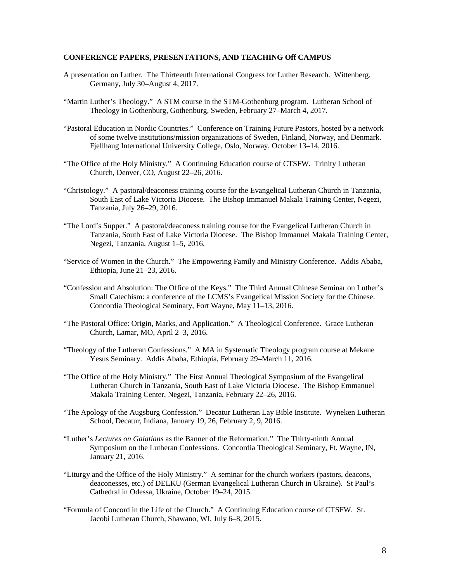#### **CONFERENCE PAPERS, PRESENTATIONS, AND TEACHING Off CAMPUS**

- A presentation on Luther. The Thirteenth International Congress for Luther Research. Wittenberg, Germany, July 30–August 4, 2017.
- "Martin Luther's Theology." A STM course in the STM-Gothenburg program. Lutheran School of Theology in Gothenburg, Gothenburg, Sweden, February 27–March 4, 2017.
- "Pastoral Education in Nordic Countries." Conference on Training Future Pastors, hosted by a network of some twelve institutions/mission organizations of Sweden, Finland, Norway, and Denmark. Fjellhaug International University College, Oslo, Norway, October 13–14, 2016.
- "The Office of the Holy Ministry." A Continuing Education course of CTSFW. Trinity Lutheran Church, Denver, CO, August 22–26, 2016.
- "Christology." A pastoral/deaconess training course for the Evangelical Lutheran Church in Tanzania, South East of Lake Victoria Diocese. The Bishop Immanuel Makala Training Center, Negezi, Tanzania, July 26–29, 2016.
- "The Lord's Supper." A pastoral/deaconess training course for the Evangelical Lutheran Church in Tanzania, South East of Lake Victoria Diocese. The Bishop Immanuel Makala Training Center, Negezi, Tanzania, August 1–5, 2016.
- "Service of Women in the Church." The Empowering Family and Ministry Conference. Addis Ababa, Ethiopia, June 21–23, 2016.
- "Confession and Absolution: The Office of the Keys." The Third Annual Chinese Seminar on Luther's Small Catechism: a conference of the LCMS's Evangelical Mission Society for the Chinese. Concordia Theological Seminary, Fort Wayne, May 11–13, 2016.
- "The Pastoral Office: Origin, Marks, and Application." A Theological Conference. Grace Lutheran Church, Lamar, MO, April 2–3, 2016.
- "Theology of the Lutheran Confessions." A MA in Systematic Theology program course at Mekane Yesus Seminary. Addis Ababa, Ethiopia, February 29–March 11, 2016.
- "The Office of the Holy Ministry." The First Annual Theological Symposium of the Evangelical Lutheran Church in Tanzania, South East of Lake Victoria Diocese. The Bishop Emmanuel Makala Training Center, Negezi, Tanzania, February 22–26, 2016.
- "The Apology of the Augsburg Confession." Decatur Lutheran Lay Bible Institute. Wyneken Lutheran School, Decatur, Indiana, January 19, 26, February 2, 9, 2016.
- "Luther's *Lectures on Galatians* as the Banner of the Reformation." The Thirty-ninth Annual Symposium on the Lutheran Confessions. Concordia Theological Seminary, Ft. Wayne, IN, January 21, 2016.
- "Liturgy and the Office of the Holy Ministry." A seminar for the church workers (pastors, deacons, deaconesses, etc.) of DELKU (German Evangelical Lutheran Church in Ukraine). St Paul's Cathedral in Odessa, Ukraine, October 19–24, 2015.
- "Formula of Concord in the Life of the Church." A Continuing Education course of CTSFW. St. Jacobi Lutheran Church, Shawano, WI, July 6–8, 2015.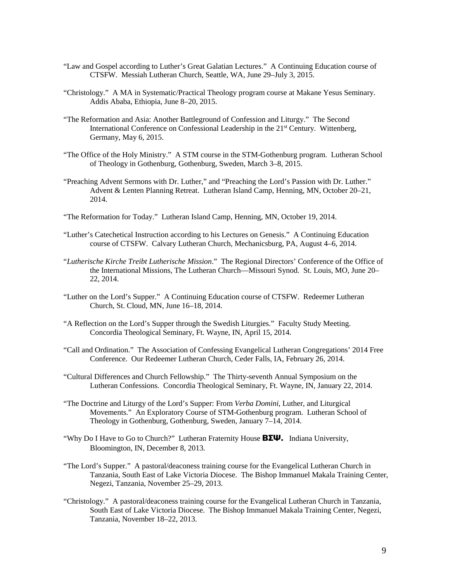- "Law and Gospel according to Luther's Great Galatian Lectures." A Continuing Education course of CTSFW. Messiah Lutheran Church, Seattle, WA, June 29–July 3, 2015.
- "Christology." A MA in Systematic/Practical Theology program course at Makane Yesus Seminary. Addis Ababa, Ethiopia, June 8–20, 2015.
- "The Reformation and Asia: Another Battleground of Confession and Liturgy." The Second International Conference on Confessional Leadership in the 21st Century. Wittenberg, Germany, May 6, 2015.
- "The Office of the Holy Ministry." A STM course in the STM-Gothenburg program. Lutheran School of Theology in Gothenburg, Gothenburg, Sweden, March 3–8, 2015.
- "Preaching Advent Sermons with Dr. Luther," and "Preaching the Lord's Passion with Dr. Luther." Advent & Lenten Planning Retreat. Lutheran Island Camp, Henning, MN, October 20–21, 2014.
- "The Reformation for Today." Lutheran Island Camp, Henning, MN, October 19, 2014.
- "Luther's Catechetical Instruction according to his Lectures on Genesis." A Continuing Education course of CTSFW. Calvary Lutheran Church, Mechanicsburg, PA, August 4–6, 2014.
- "*Lutherische Kirche Treibt Lutherische Mission*." The Regional Directors' Conference of the Office of the International Missions, The Lutheran Church—Missouri Synod. St. Louis, MO, June 20– 22, 2014.
- "Luther on the Lord's Supper." A Continuing Education course of CTSFW. Redeemer Lutheran Church, St. Cloud, MN, June 16–18, 2014.
- "A Reflection on the Lord's Supper through the Swedish Liturgies." Faculty Study Meeting. Concordia Theological Seminary, Ft. Wayne, IN, April 15, 2014.
- "Call and Ordination." The Association of Confessing Evangelical Lutheran Congregations' 2014 Free Conference. Our Redeemer Lutheran Church, Ceder Falls, IA, February 26, 2014.
- "Cultural Differences and Church Fellowship." The Thirty-seventh Annual Symposium on the Lutheran Confessions. Concordia Theological Seminary, Ft. Wayne, IN, January 22, 2014.
- "The Doctrine and Liturgy of the Lord's Supper: From *Verba Domini*, Luther, and Liturgical Movements." An Exploratory Course of STM-Gothenburg program. Lutheran School of Theology in Gothenburg, Gothenburg, Sweden, January 7–14, 2014.
- "Why Do I Have to Go to Church?" Lutheran Fraternity House ΒΣΨ. Indiana University, Bloomington, IN, December 8, 2013.
- "The Lord's Supper." A pastoral/deaconess training course for the Evangelical Lutheran Church in Tanzania, South East of Lake Victoria Diocese. The Bishop Immanuel Makala Training Center, Negezi, Tanzania, November 25–29, 2013.
- "Christology." A pastoral/deaconess training course for the Evangelical Lutheran Church in Tanzania, South East of Lake Victoria Diocese. The Bishop Immanuel Makala Training Center, Negezi, Tanzania, November 18–22, 2013.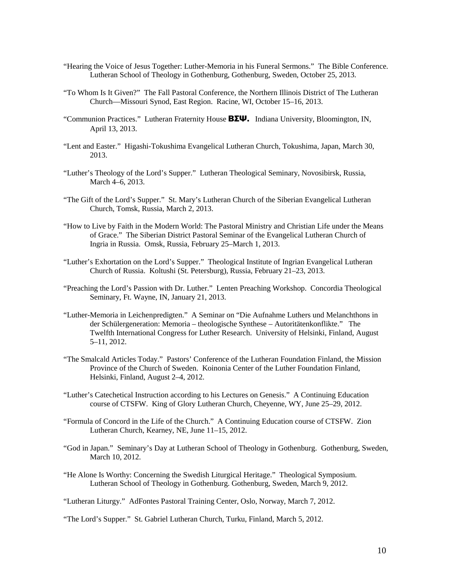- "Hearing the Voice of Jesus Together: Luther-Memoria in his Funeral Sermons." The Bible Conference. Lutheran School of Theology in Gothenburg, Gothenburg, Sweden, October 25, 2013.
- "To Whom Is It Given?" The Fall Pastoral Conference, the Northern Illinois District of The Lutheran Church—Missouri Synod, East Region. Racine, WI, October 15–16, 2013.
- "Communion Practices." Lutheran Fraternity House **ΒΣΨ.** Indiana University, Bloomington, IN, April 13, 2013.
- "Lent and Easter." Higashi-Tokushima Evangelical Lutheran Church, Tokushima, Japan, March 30, 2013.
- "Luther's Theology of the Lord's Supper." Lutheran Theological Seminary, Novosibirsk, Russia, March 4–6, 2013.
- "The Gift of the Lord's Supper." St. Mary's Lutheran Church of the Siberian Evangelical Lutheran Church, Tomsk, Russia, March 2, 2013.
- "How to Live by Faith in the Modern World: The Pastoral Ministry and Christian Life under the Means of Grace." The Siberian District Pastoral Seminar of the Evangelical Lutheran Church of Ingria in Russia. Omsk, Russia, February 25–March 1, 2013.
- "Luther's Exhortation on the Lord's Supper." Theological Institute of Ingrian Evangelical Lutheran Church of Russia. Koltushi (St. Petersburg), Russia, February 21–23, 2013.
- "Preaching the Lord's Passion with Dr. Luther." Lenten Preaching Workshop. Concordia Theological Seminary, Ft. Wayne, IN, January 21, 2013.
- "Luther-Memoria in Leichenpredigten." A Seminar on "Die Aufnahme Luthers und Melanchthons in der Schülergeneration: Memoria – theologische Synthese – Autoritätenkonflikte." The Twelfth International Congress for Luther Research. University of Helsinki, Finland, August 5–11, 2012.
- "The Smalcald Articles Today." Pastors' Conference of the Lutheran Foundation Finland, the Mission Province of the Church of Sweden. Koinonia Center of the Luther Foundation Finland, Helsinki, Finland, August 2–4, 2012.
- "Luther's Catechetical Instruction according to his Lectures on Genesis." A Continuing Education course of CTSFW. King of Glory Lutheran Church, Cheyenne, WY, June 25–29, 2012.
- "Formula of Concord in the Life of the Church." A Continuing Education course of CTSFW. Zion Lutheran Church, Kearney, NE, June 11–15, 2012.
- "God in Japan." Seminary's Day at Lutheran School of Theology in Gothenburg. Gothenburg, Sweden, March 10, 2012.
- "He Alone Is Worthy: Concerning the Swedish Liturgical Heritage." Theological Symposium. Lutheran School of Theology in Gothenburg. Gothenburg, Sweden, March 9, 2012.

"Lutheran Liturgy." AdFontes Pastoral Training Center, Oslo, Norway, March 7, 2012.

"The Lord's Supper." St. Gabriel Lutheran Church, Turku, Finland, March 5, 2012.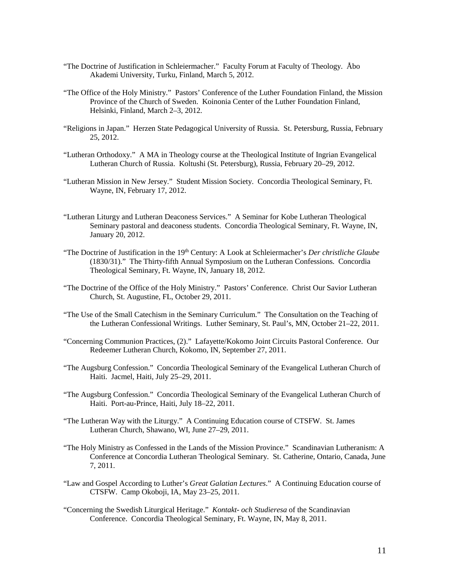- "The Doctrine of Justification in Schleiermacher." Faculty Forum at Faculty of Theology. Åbo Akademi University, Turku, Finland, March 5, 2012.
- "The Office of the Holy Ministry." Pastors' Conference of the Luther Foundation Finland, the Mission Province of the Church of Sweden. Koinonia Center of the Luther Foundation Finland, Helsinki, Finland, March 2–3, 2012.
- "Religions in Japan." Herzen State Pedagogical University of Russia. St. Petersburg, Russia, February 25, 2012.
- "Lutheran Orthodoxy." A MA in Theology course at the Theological Institute of Ingrian Evangelical Lutheran Church of Russia. Koltushi (St. Petersburg), Russia, February 20–29, 2012.
- "Lutheran Mission in New Jersey." Student Mission Society. Concordia Theological Seminary, Ft. Wayne, IN, February 17, 2012.
- "Lutheran Liturgy and Lutheran Deaconess Services." A Seminar for Kobe Lutheran Theological Seminary pastoral and deaconess students. Concordia Theological Seminary, Ft. Wayne, IN, January 20, 2012.
- "The Doctrine of Justification in the 19<sup>th</sup> Century: A Look at Schleiermacher's *Der christliche Glaube* (1830/31)." The Thirty-fifth Annual Symposium on the Lutheran Confessions. Concordia Theological Seminary, Ft. Wayne, IN, January 18, 2012.
- "The Doctrine of the Office of the Holy Ministry." Pastors' Conference. Christ Our Savior Lutheran Church, St. Augustine, FL, October 29, 2011.
- "The Use of the Small Catechism in the Seminary Curriculum." The Consultation on the Teaching of the Lutheran Confessional Writings. Luther Seminary, St. Paul's, MN, October 21–22, 2011.
- "Concerning Communion Practices, (2)." Lafayette/Kokomo Joint Circuits Pastoral Conference. Our Redeemer Lutheran Church, Kokomo, IN, September 27, 2011.
- "The Augsburg Confession." Concordia Theological Seminary of the Evangelical Lutheran Church of Haiti. Jacmel, Haiti, July 25–29, 2011.
- "The Augsburg Confession." Concordia Theological Seminary of the Evangelical Lutheran Church of Haiti. Port-au-Prince, Haiti, July 18–22, 2011.
- "The Lutheran Way with the Liturgy." A Continuing Education course of CTSFW. St. James Lutheran Church, Shawano, WI, June 27–29, 2011.
- "The Holy Ministry as Confessed in the Lands of the Mission Province." Scandinavian Lutheranism: A Conference at Concordia Lutheran Theological Seminary. St. Catherine, Ontario, Canada, June 7, 2011.
- "Law and Gospel According to Luther's *Great Galatian Lectures*." A Continuing Education course of CTSFW. Camp Okoboji, IA, May 23–25, 2011.
- "Concerning the Swedish Liturgical Heritage." *Kontakt- och Studieresa* of the Scandinavian Conference. Concordia Theological Seminary, Ft. Wayne, IN, May 8, 2011.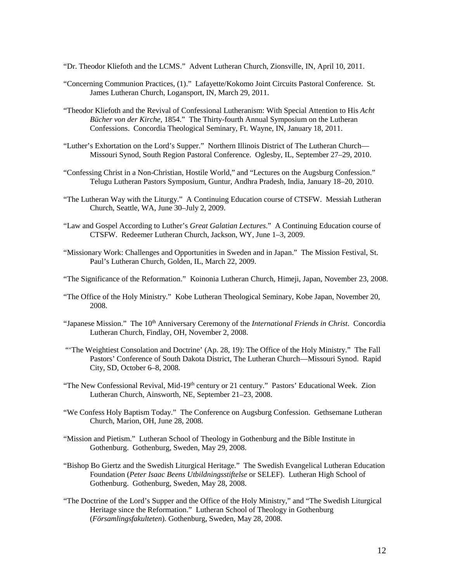"Dr. Theodor Kliefoth and the LCMS." Advent Lutheran Church, Zionsville, IN, April 10, 2011.

- "Concerning Communion Practices, (1)." Lafayette/Kokomo Joint Circuits Pastoral Conference. St. James Lutheran Church, Logansport, IN, March 29, 2011.
- "Theodor Kliefoth and the Revival of Confessional Lutheranism: With Special Attention to His *Acht Bücher von der Kirche*, 1854." The Thirty-fourth Annual Symposium on the Lutheran Confessions. Concordia Theological Seminary, Ft. Wayne, IN, January 18, 2011.
- "Luther's Exhortation on the Lord's Supper." Northern Illinois District of The Lutheran Church— Missouri Synod, South Region Pastoral Conference. Oglesby, IL, September 27–29, 2010.
- "Confessing Christ in a Non-Christian, Hostile World," and "Lectures on the Augsburg Confession." Telugu Lutheran Pastors Symposium, Guntur, Andhra Pradesh, India, January 18–20, 2010.
- "The Lutheran Way with the Liturgy." A Continuing Education course of CTSFW. Messiah Lutheran Church, Seattle, WA, June 30–July 2, 2009.
- "Law and Gospel According to Luther's *Great Galatian Lectures*." A Continuing Education course of CTSFW. Redeemer Lutheran Church, Jackson, WY, June 1–3, 2009.
- "Missionary Work: Challenges and Opportunities in Sweden and in Japan." The Mission Festival, St. Paul's Lutheran Church, Golden, IL, March 22, 2009.
- "The Significance of the Reformation." Koinonia Lutheran Church, Himeji, Japan, November 23, 2008.
- "The Office of the Holy Ministry." Kobe Lutheran Theological Seminary, Kobe Japan, November 20, 2008.
- "Japanese Mission." The 10<sup>th</sup> Anniversary Ceremony of the *International Friends in Christ*. Concordia Lutheran Church, Findlay, OH, November 2, 2008.
- "'The Weightiest Consolation and Doctrine' (Ap. 28, 19): The Office of the Holy Ministry." The Fall Pastors' Conference of South Dakota District, The Lutheran Church—Missouri Synod. Rapid City, SD, October 6–8, 2008.
- "The New Confessional Revival, Mid-19th century or 21 century." Pastors' Educational Week. Zion Lutheran Church, Ainsworth, NE, September 21–23, 2008.
- "We Confess Holy Baptism Today." The Conference on Augsburg Confession. Gethsemane Lutheran Church, Marion, OH, June 28, 2008.
- "Mission and Pietism." Lutheran School of Theology in Gothenburg and the Bible Institute in Gothenburg. Gothenburg, Sweden, May 29, 2008.
- "Bishop Bo Giertz and the Swedish Liturgical Heritage." The Swedish Evangelical Lutheran Education Foundation (*Peter Isaac Beens Utbildningsstiftelse* or SELEF). Lutheran High School of Gothenburg. Gothenburg, Sweden, May 28, 2008.
- "The Doctrine of the Lord's Supper and the Office of the Holy Ministry," and "The Swedish Liturgical Heritage since the Reformation." Lutheran School of Theology in Gothenburg (*Församlingsfakulteten*). Gothenburg, Sweden, May 28, 2008.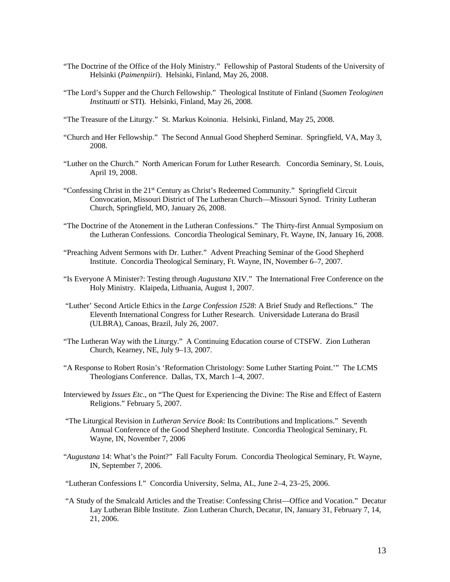- "The Doctrine of the Office of the Holy Ministry." Fellowship of Pastoral Students of the University of Helsinki (*Paimenpiiri*). Helsinki, Finland, May 26, 2008.
- "The Lord's Supper and the Church Fellowship." Theological Institute of Finland (*Suomen Teologinen Instituutti* or STI). Helsinki, Finland, May 26, 2008.
- "The Treasure of the Liturgy." St. Markus Koinonia. Helsinki, Finland, May 25, 2008.
- "Church and Her Fellowship." The Second Annual Good Shepherd Seminar. Springfield, VA, May 3, 2008.
- "Luther on the Church." North American Forum for Luther Research. Concordia Seminary, St. Louis, April 19, 2008.
- "Confessing Christ in the 21st Century as Christ's Redeemed Community." Springfield Circuit Convocation, Missouri District of The Lutheran Church—Missouri Synod. Trinity Lutheran Church, Springfield, MO, January 26, 2008.
- "The Doctrine of the Atonement in the Lutheran Confessions." The Thirty-first Annual Symposium on the Lutheran Confessions. Concordia Theological Seminary, Ft. Wayne, IN, January 16, 2008.
- "Preaching Advent Sermons with Dr. Luther." Advent Preaching Seminar of the Good Shepherd Institute. Concordia Theological Seminary, Ft. Wayne, IN, November 6–7, 2007.
- "Is Everyone A Minister?: Testing through *Augustana* XIV." The International Free Conference on the Holy Ministry. Klaipeda, Lithuania, August 1, 2007.
- "Luther' Second Article Ethics in the *Large Confession 1528*: A Brief Study and Reflections." The Eleventh International Congress for Luther Research. Universidade Luterana do Brasil (ULBRA), Canoas, Brazil, July 26, 2007.
- "The Lutheran Way with the Liturgy." A Continuing Education course of CTSFW. Zion Lutheran Church, Kearney, NE, July 9–13, 2007.
- "A Response to Robert Rosin's 'Reformation Christology: Some Luther Starting Point.'" The LCMS Theologians Conference. Dallas, TX, March 1–4, 2007.
- Interviewed by *Issues Etc*., on "The Quest for Experiencing the Divine: The Rise and Effect of Eastern Religions." February 5, 2007.
- "The Liturgical Revision in *Lutheran Service Book*: Its Contributions and Implications." Seventh Annual Conference of the Good Shepherd Institute. Concordia Theological Seminary, Ft. Wayne, IN, November 7, 2006
- "*Augustana* 14: What's the Point?" Fall Faculty Forum. Concordia Theological Seminary, Ft. Wayne, IN, September 7, 2006.
- "Lutheran Confessions I." Concordia University, Selma, AL, June 2–4, 23–25, 2006.
- "A Study of the Smalcald Articles and the Treatise: Confessing Christ—Office and Vocation." Decatur Lay Lutheran Bible Institute. Zion Lutheran Church, Decatur, IN, January 31, February 7, 14, 21, 2006.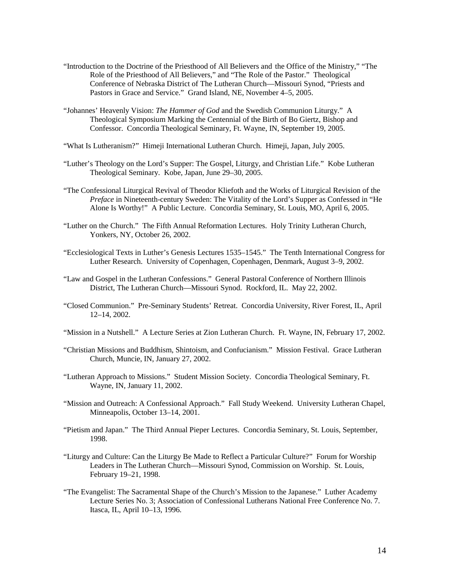- "Introduction to the Doctrine of the Priesthood of All Believers and the Office of the Ministry," "The Role of the Priesthood of All Believers," and "The Role of the Pastor." Theological Conference of Nebraska District of The Lutheran Church—Missouri Synod, "Priests and Pastors in Grace and Service." Grand Island, NE, November 4–5, 2005.
- "Johannes' Heavenly Vision: *The Hammer of God* and the Swedish Communion Liturgy." A Theological Symposium Marking the Centennial of the Birth of Bo Giertz, Bishop and Confessor. Concordia Theological Seminary, Ft. Wayne, IN, September 19, 2005.
- "What Is Lutheranism?" Himeji International Lutheran Church. Himeji, Japan, July 2005.
- "Luther's Theology on the Lord's Supper: The Gospel, Liturgy, and Christian Life." Kobe Lutheran Theological Seminary. Kobe, Japan, June 29–30, 2005.
- "The Confessional Liturgical Revival of Theodor Kliefoth and the Works of Liturgical Revision of the *Preface* in Nineteenth-century Sweden: The Vitality of the Lord's Supper as Confessed in "He Alone Is Worthy!" A Public Lecture. Concordia Seminary, St. Louis, MO, April 6, 2005.
- "Luther on the Church." The Fifth Annual Reformation Lectures. Holy Trinity Lutheran Church, Yonkers, NY, October 26, 2002.
- "Ecclesiological Texts in Luther's Genesis Lectures 1535–1545." The Tenth International Congress for Luther Research. University of Copenhagen, Copenhagen, Denmark, August 3–9, 2002.
- "Law and Gospel in the Lutheran Confessions." General Pastoral Conference of Northern Illinois District, The Lutheran Church—Missouri Synod. Rockford, IL. May 22, 2002.
- "Closed Communion." Pre-Seminary Students' Retreat. Concordia University, River Forest, IL, April 12–14, 2002.
- "Mission in a Nutshell." A Lecture Series at Zion Lutheran Church. Ft. Wayne, IN, February 17, 2002.
- "Christian Missions and Buddhism, Shintoism, and Confucianism." Mission Festival. Grace Lutheran Church, Muncie, IN, January 27, 2002.
- "Lutheran Approach to Missions." Student Mission Society. Concordia Theological Seminary, Ft. Wayne, IN, January 11, 2002.
- "Mission and Outreach: A Confessional Approach." Fall Study Weekend. University Lutheran Chapel, Minneapolis, October 13–14, 2001.
- "Pietism and Japan." The Third Annual Pieper Lectures. Concordia Seminary, St. Louis, September, 1998.
- "Liturgy and Culture: Can the Liturgy Be Made to Reflect a Particular Culture?" Forum for Worship Leaders in The Lutheran Church—Missouri Synod, Commission on Worship. St. Louis, February 19–21, 1998.
- "The Evangelist: The Sacramental Shape of the Church's Mission to the Japanese." Luther Academy Lecture Series No. 3; Association of Confessional Lutherans National Free Conference No. 7. Itasca, IL, April 10–13, 1996.